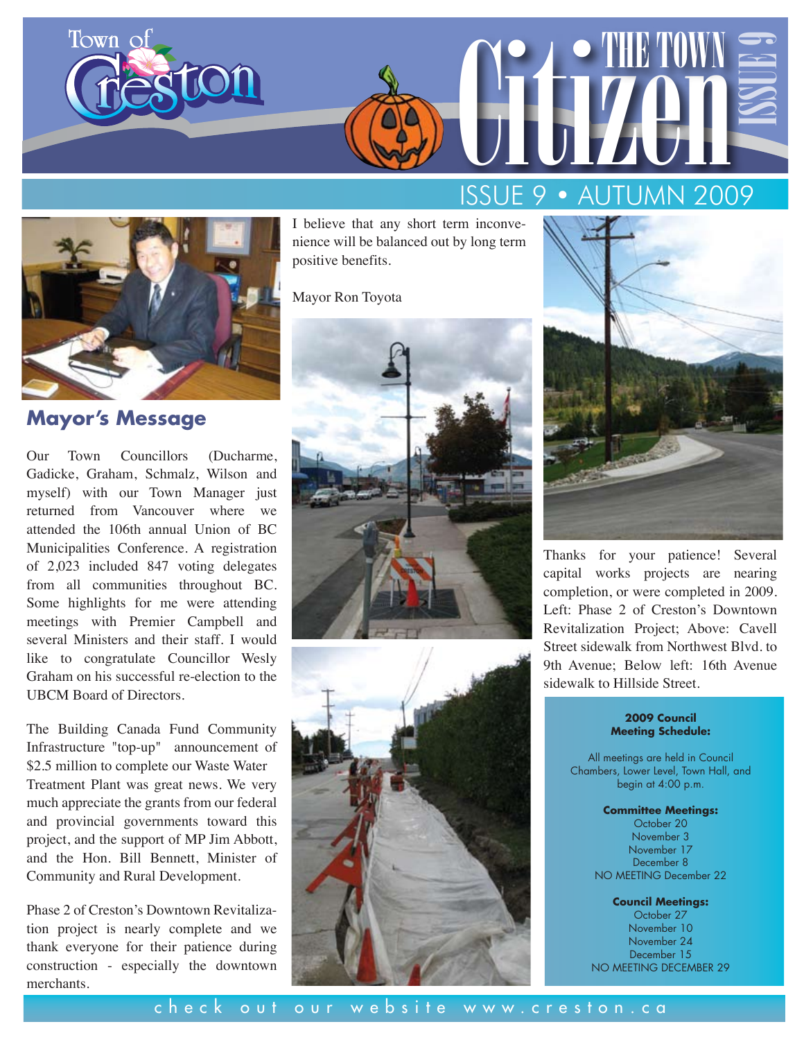



**Mayor's Message** 

Our Town Councillors (Ducharme, Gadicke, Graham, Schmalz, Wilson and myself) with our Town Manager just returned from Vancouver where we attended the 106th annual Union of BC Municipalities Conference. A registration of 2,023 included 847 voting delegates from all communities throughout BC. Some highlights for me were attending meetings with Premier Campbell and several Ministers and their staff. I would like to congratulate Councillor Wesly Graham on his successful re-election to the UBCM Board of Directors.

The Building Canada Fund Community Infrastructure "top-up" announcement of \$2.5 million to complete our Waste Water Treatment Plant was great news. We very much appreciate the grants from our federal and provincial governments toward this project, and the support of MP Jim Abbott, and the Hon. Bill Bennett, Minister of Community and Rural Development.

Phase 2 of Creston's Downtown Revitalization project is nearly complete and we thank everyone for their patience during construction - especially the downtown merchants.

I believe that any short term inconvenience will be balanced out by long term positive benefits.

Mayor Ron Toyota







Thanks for your patience! Several capital works projects are nearing completion, or were completed in 2009. Left: Phase 2 of Creston's Downtown Revitalization Project; Above: Cavell Street sidewalk from Northwest Blvd. to 9th Avenue; Below left: 16th Avenue sidewalk to Hillside Street.

#### **2009 Council Meeting Schedule:**

All meetings are held in Council Chambers, Lower Level, Town Hall, and begin at 4:00 p.m.

> **Committee Meetings:** October 20 November 3 November 17 December 8 NO MEETING December 22

**Council Meetings:** October 27 November 10 November 24 December 15 NO MEETING DECEMBER 29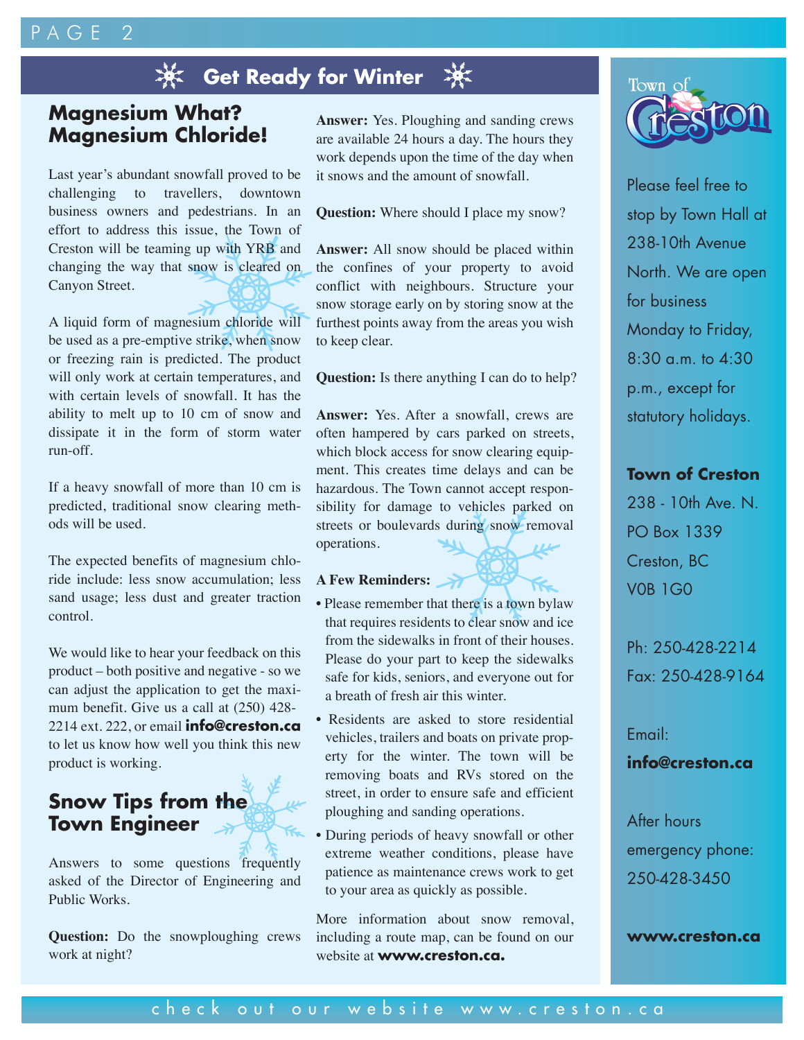# PAGE<sub>2</sub>

# **※ Get Ready for Winter**

## **Magnesium What? Magnesium Chloride!**

Last year's abundant snowfall proved to be challenging to travellers, downtown business owners and pedestrians. In an effort to address this issue, the Town of Creston will be teaming up with YRB and changing the way that snow is cleared on Canyon Street.

A liquid form of magnesium chloride will be used as a pre-emptive strike, when snow or freezing rain is predicted. The product will only work at certain temperatures, and with certain levels of snowfall. It has the ability to melt up to 10 cm of snow and dissipate it in the form of storm water run-off.

If a heavy snowfall of more than 10 cm is predicted, traditional snow clearing methods will be used.

The expected benefits of magnesium chloride include: less snow accumulation; less sand usage; less dust and greater traction control.

We would like to hear your feedback on this product – both positive and negative - so we can adjust the application to get the maximum benefit. Give us a call at (250) 428- 2214 ext. 222, or email **info@creston.ca** to let us know how well you think this new product is working.

# **Snow Tips from the Town Engineer**

Answers to some questions frequently asked of the Director of Engineering and Public Works.

**Question:** Do the snowploughing crews work at night?

**Answer:** Yes. Ploughing and sanding crews are available 24 hours a day. The hours they work depends upon the time of the day when it snows and the amount of snowfall.

**Question:** Where should I place my snow?

**Answer:** All snow should be placed within the confines of your property to avoid conflict with neighbours. Structure your snow storage early on by storing snow at the furthest points away from the areas you wish to keep clear.

**Question:** Is there anything I can do to help?

**Answer:** Yes. After a snowfall, crews are often hampered by cars parked on streets, which block access for snow clearing equipment. This creates time delays and can be hazardous. The Town cannot accept responsibility for damage to vehicles parked on streets or boulevards during snow removal operations.

#### **A Few Reminders:**

- Please remember that there is a town bylaw that requires residents to clear snow and ice from the sidewalks in front of their houses. Please do your part to keep the sidewalks safe for kids, seniors, and everyone out for a breath of fresh air this winter.
- Residents are asked to store residential vehicles, trailers and boats on private property for the winter. The town will be removing boats and RVs stored on the street, in order to ensure safe and efficient ploughing and sanding operations.
- During periods of heavy snowfall or other extreme weather conditions, please have patience as maintenance crews work to get to your area as quickly as possible.

More information about snow removal, including a route map, can be found on our website at **www.creston.ca.**



Please feel free to stop by Town Hall at 238-10th Avenue North. We are open for business Monday to Friday, 8:30 a.m. to 4:30 p.m., except for statutory holidays.

#### **Town of Creston**

238 - 10th Ave. N. PO Box 1339 Creston, BC V0B 1G0

Ph: 250-428-2214 Fax: 250-428-9164

Email:

#### **info@creston.ca**

After hours emergency phone: 250-428-3450

#### **www.creston.ca**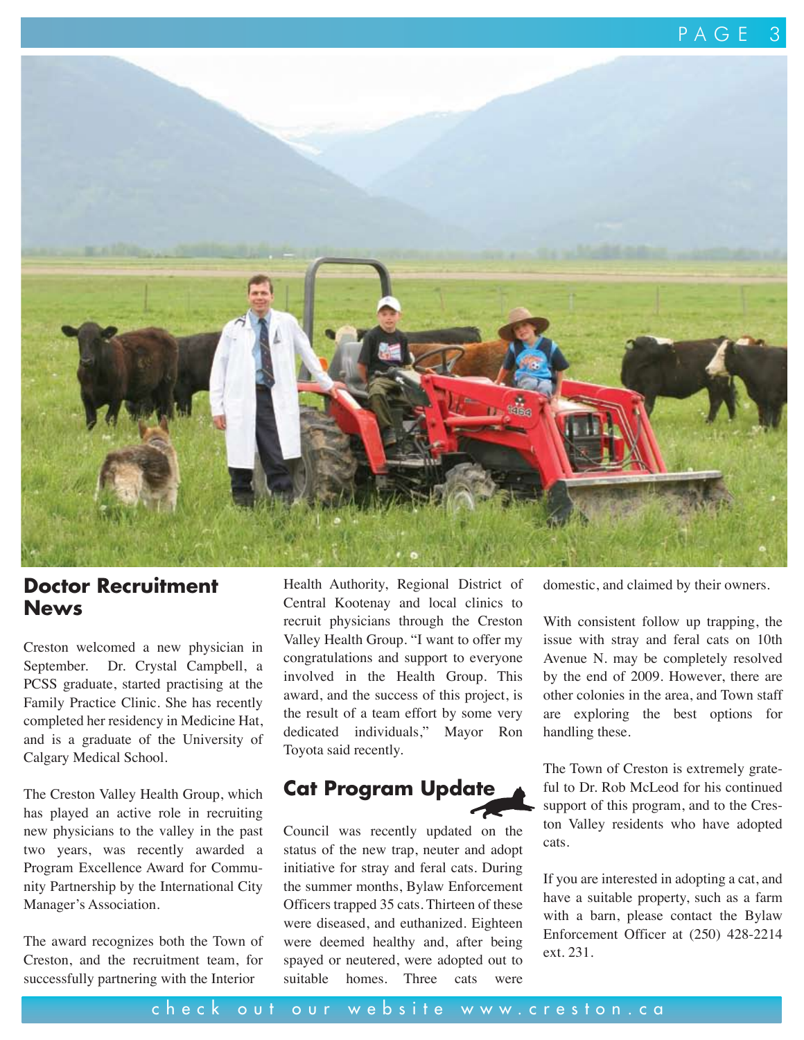

### **Doctor Recruitment News**

Creston welcomed a new physician in September. Dr. Crystal Campbell, a PCSS graduate, started practising at the Family Practice Clinic. She has recently completed her residency in Medicine Hat, and is a graduate of the University of Calgary Medical School.

The Creston Valley Health Group, which has played an active role in recruiting new physicians to the valley in the past two years, was recently awarded a Program Excellence Award for Community Partnership by the International City Manager's Association.

The award recognizes both the Town of Creston, and the recruitment team, for successfully partnering with the Interior

Health Authority, Regional District of Central Kootenay and local clinics to recruit physicians through the Creston Valley Health Group. "I want to offer my congratulations and support to everyone involved in the Health Group. This award, and the success of this project, is the result of a team effort by some very dedicated individuals," Mayor Ron Toyota said recently.

## **Cat Program Update**

Council was recently updated on the status of the new trap, neuter and adopt initiative for stray and feral cats. During the summer months, Bylaw Enforcement Officers trapped 35 cats. Thirteen of these were diseased, and euthanized. Eighteen were deemed healthy and, after being spayed or neutered, were adopted out to suitable homes. Three cats were domestic, and claimed by their owners.

With consistent follow up trapping, the issue with stray and feral cats on 10th Avenue N. may be completely resolved by the end of 2009. However, there are other colonies in the area, and Town staff are exploring the best options for handling these.

The Town of Creston is extremely grateful to Dr. Rob McLeod for his continued support of this program, and to the Creston Valley residents who have adopted cats.

If you are interested in adopting a cat, and have a suitable property, such as a farm with a barn, please contact the Bylaw Enforcement Officer at (250) 428-2214 ext. 231.